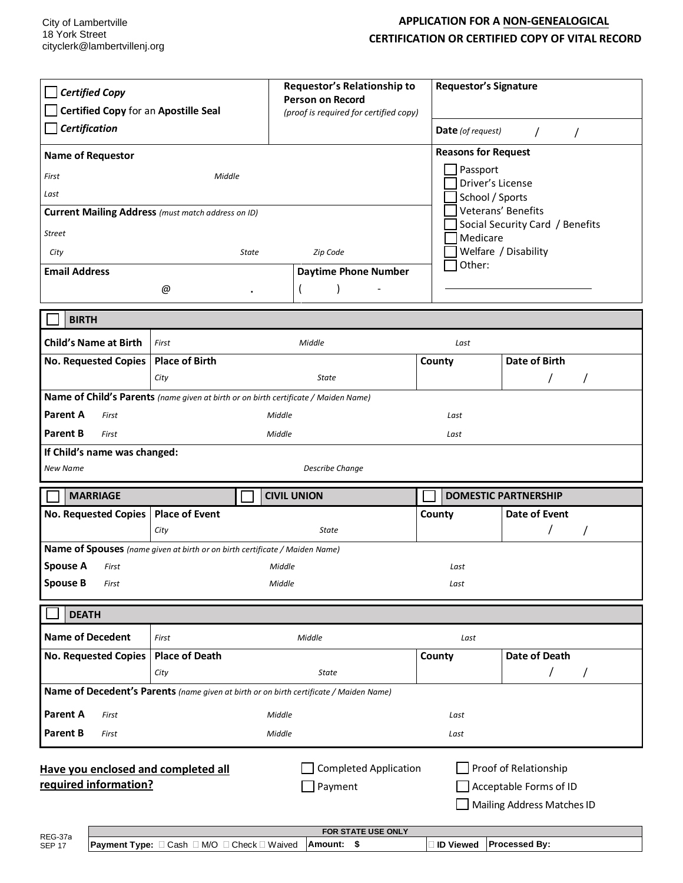## **APPLICATION FOR A NON-GENEALOGICAL CERTIFICATION OR CERTIFIED COPY OF VITAL RECORD**

| <b>Certified Copy</b><br>Certified Copy for an Apostille Seal<br>Certification<br><b>Name of Requestor</b><br>Middle<br>First<br>Last<br>Current Mailing Address (must match address on ID)<br>Street<br>City<br>State<br><b>Email Address</b>                                                                                          |                                                                             | Requestor's Relationship to<br><b>Requestor's Signature</b><br><b>Person on Record</b><br>(proof is required for certified copy)<br><b>Date</b> (of request)<br>$\prime$<br><b>Reasons for Request</b><br>Passport<br>Driver's License<br>School / Sports<br>Veterans' Benefits<br>Medicare<br>Welfare / Disability<br>Zip Code<br>Other:<br><b>Daytime Phone Number</b> |                | $\prime$<br>Social Security Card / Benefits |  |
|-----------------------------------------------------------------------------------------------------------------------------------------------------------------------------------------------------------------------------------------------------------------------------------------------------------------------------------------|-----------------------------------------------------------------------------|--------------------------------------------------------------------------------------------------------------------------------------------------------------------------------------------------------------------------------------------------------------------------------------------------------------------------------------------------------------------------|----------------|---------------------------------------------|--|
|                                                                                                                                                                                                                                                                                                                                         | @<br>$\bullet$                                                              |                                                                                                                                                                                                                                                                                                                                                                          |                |                                             |  |
| <b>BIRTH</b>                                                                                                                                                                                                                                                                                                                            |                                                                             |                                                                                                                                                                                                                                                                                                                                                                          |                |                                             |  |
| <b>Child's Name at Birth</b><br>No. Requested Copies                                                                                                                                                                                                                                                                                    | First<br><b>Place of Birth</b><br>City                                      | Middle<br><b>State</b>                                                                                                                                                                                                                                                                                                                                                   | Last<br>County | <b>Date of Birth</b>                        |  |
| Name of Child's Parents (name given at birth or on birth certificate / Maiden Name)<br>Parent A<br>Middle<br>First<br>Last<br><b>Parent B</b><br>First<br>Middle<br>Last<br>If Child's name was changed:<br>New Name<br><b>Describe Change</b>                                                                                          |                                                                             |                                                                                                                                                                                                                                                                                                                                                                          |                |                                             |  |
| <b>MARRIAGE</b>                                                                                                                                                                                                                                                                                                                         |                                                                             | <b>CIVIL UNION</b>                                                                                                                                                                                                                                                                                                                                                       |                | <b>DOMESTIC PARTNERSHIP</b>                 |  |
| No. Requested Copies   Place of Event                                                                                                                                                                                                                                                                                                   | City                                                                        | <b>State</b>                                                                                                                                                                                                                                                                                                                                                             | County         | <b>Date of Event</b><br>$\prime$            |  |
| <b>Spouse A</b><br>First<br><b>Spouse B</b><br>First                                                                                                                                                                                                                                                                                    | Name of Spouses (name given at birth or on birth certificate / Maiden Name) | Middle<br>Middle                                                                                                                                                                                                                                                                                                                                                         | Last<br>Last   |                                             |  |
| <b>DEATH</b>                                                                                                                                                                                                                                                                                                                            |                                                                             |                                                                                                                                                                                                                                                                                                                                                                          |                |                                             |  |
| <b>Name of Decedent</b><br><b>No. Requested Copies</b>                                                                                                                                                                                                                                                                                  | First<br><b>Place of Death</b><br>City                                      | Middle<br><b>State</b><br>Name of Decedent's Parents (name given at birth or on birth certificate / Maiden Name)                                                                                                                                                                                                                                                         | Last<br>County | <b>Date of Death</b><br>T<br>$\prime$       |  |
| <b>Parent A</b><br>First<br><b>Parent B</b><br>First                                                                                                                                                                                                                                                                                    |                                                                             | Middle<br>Middle                                                                                                                                                                                                                                                                                                                                                         | Last<br>Last   |                                             |  |
| <b>Completed Application</b><br>Proof of Relationship<br>Have you enclosed and completed all<br>required information?<br>Payment<br>Acceptable Forms of ID<br>Mailing Address Matches ID<br>FOR STATE USE ONLY<br>REG-37a<br>Payment Type: □ Cash □ M/O □ Check □ Waived<br>Amount: \$<br>Processed By:<br>□ ID Viewed<br><b>SEP 17</b> |                                                                             |                                                                                                                                                                                                                                                                                                                                                                          |                |                                             |  |